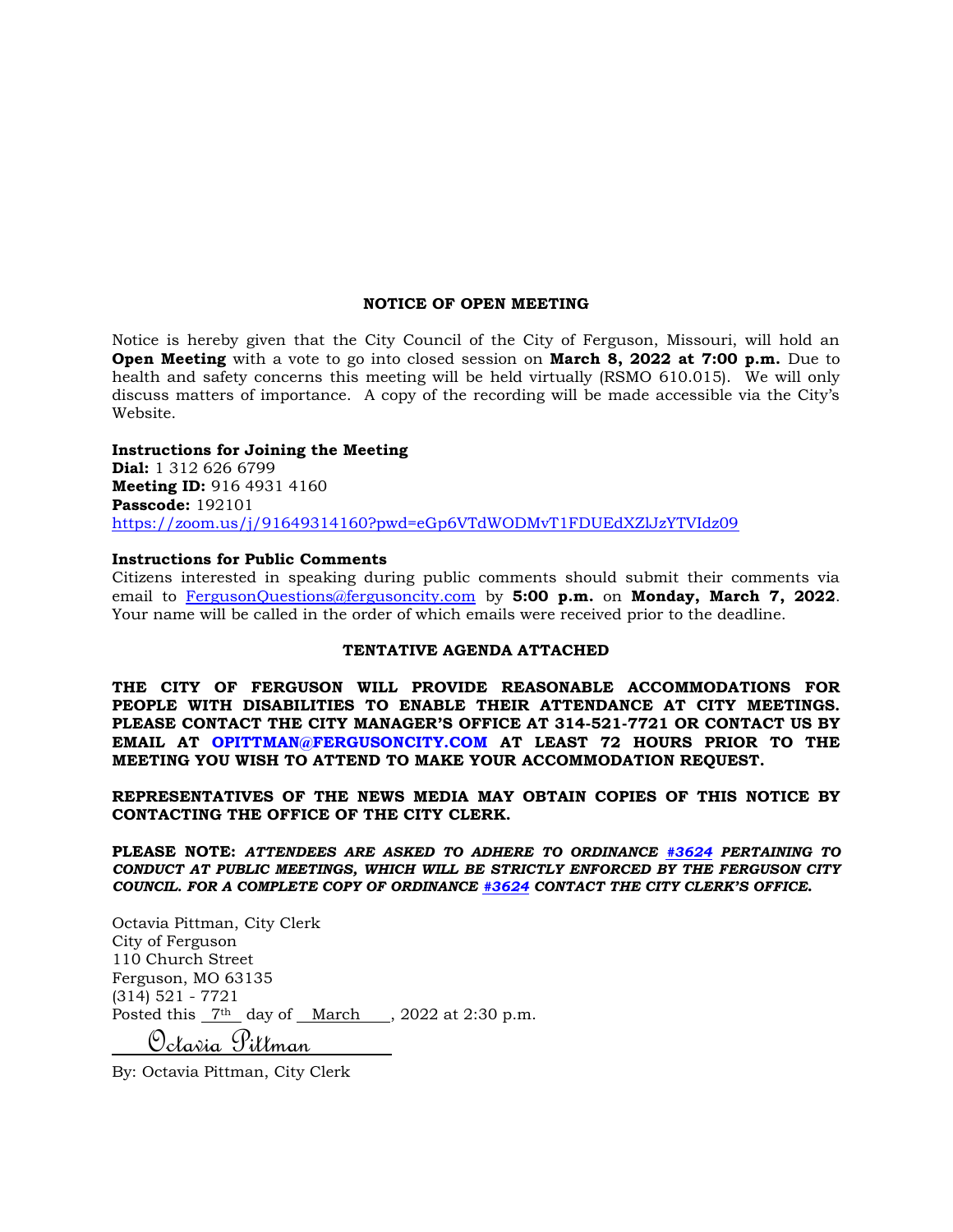#### **NOTICE OF OPEN MEETING**

Notice is hereby given that the City Council of the City of Ferguson, Missouri, will hold an **Open Meeting** with a vote to go into closed session on **March 8, 2022 at 7:00 p.m.** Due to health and safety concerns this meeting will be held virtually (RSMO 610.015). We will only discuss matters of importance. A copy of the recording will be made accessible via the City's Website.

#### **Instructions for Joining the Meeting**

**Dial:** 1 312 626 6799 **Meeting ID:** 916 4931 4160 **Passcode:** 192101 <https://zoom.us/j/91649314160?pwd=eGp6VTdWODMvT1FDUEdXZlJzYTVIdz09>

#### **Instructions for Public Comments**

Citizens interested in speaking during public comments should submit their comments via email to [FergusonQuestions@fergusoncity.com](mailto:FergusonQuestions@fergusoncity.com) by **5:00 p.m.** on **Monday, March 7, 2022**. Your name will be called in the order of which emails were received prior to the deadline.

### **TENTATIVE AGENDA ATTACHED**

**THE CITY OF FERGUSON WILL PROVIDE REASONABLE ACCOMMODATIONS FOR PEOPLE WITH DISABILITIES TO ENABLE THEIR ATTENDANCE AT CITY MEETINGS. PLEASE CONTACT THE CITY MANAGER'S OFFICE AT 314-521-7721 OR CONTACT US BY EMAIL AT OPITTMAN@FERGUSONCITY.COM AT LEAST 72 HOURS PRIOR TO THE MEETING YOU WISH TO ATTEND TO MAKE YOUR ACCOMMODATION REQUEST.**

**REPRESENTATIVES OF THE NEWS MEDIA MAY OBTAIN COPIES OF THIS NOTICE BY CONTACTING THE OFFICE OF THE CITY CLERK.**

**PLEASE NOTE:** *ATTENDEES ARE ASKED TO ADHERE TO ORDINANCE [#3624](https://www.fergusoncity.com/DocumentCenter/View/3634/Ord-2016-3624-Amending-Chapt-2-addition-of-Sec-2-32-Conduct-at-Public-Mtgs) PERTAINING TO CONDUCT AT PUBLIC MEETINGS, WHICH WILL BE STRICTLY ENFORCED BY THE FERGUSON CITY COUNCIL. FOR A COMPLETE COPY OF ORDINANCE [#3624](https://www.fergusoncity.com/DocumentCenter/View/3634/Ord-2016-3624-Amending-Chapt-2-addition-of-Sec-2-32-Conduct-at-Public-Mtgs) CONTACT THE CITY CLERK'S OFFICE***.**

Octavia Pittman, City Clerk City of Ferguson 110 Church Street Ferguson, MO 63135 (314) 521 - 7721 Posted this  $7<sup>th</sup>$  day of March , 2022 at 2:30 p.m. Octavia Pittman

By: Octavia Pittman, City Clerk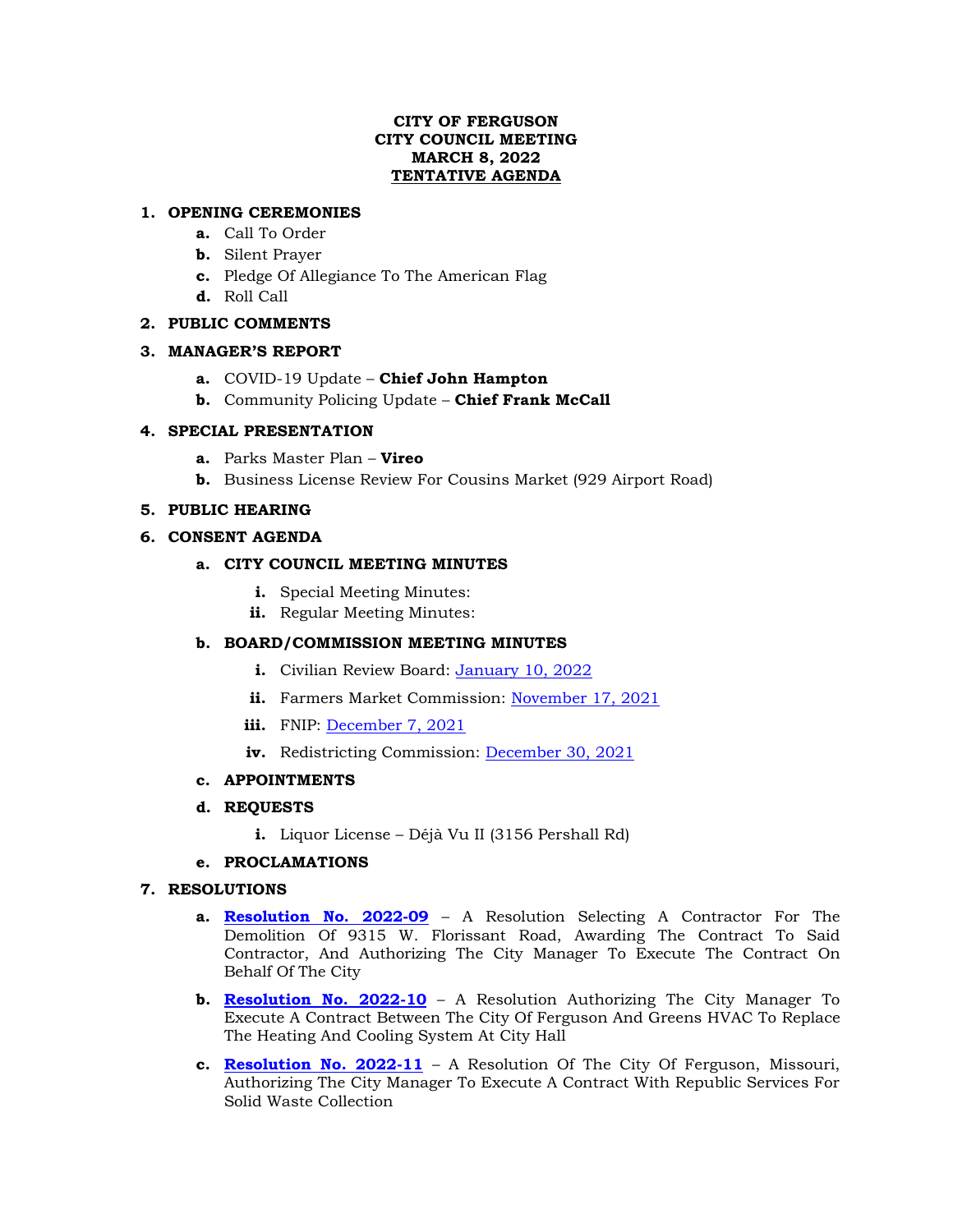## **CITY OF FERGUSON CITY COUNCIL MEETING MARCH 8, 2022 TENTATIVE AGENDA**

## **1. OPENING CEREMONIES**

- **a.** Call To Order
- **b.** Silent Prayer
- **c.** Pledge Of Allegiance To The American Flag
- **d.** Roll Call

## **2. PUBLIC COMMENTS**

## **3. MANAGER'S REPORT**

- **a.** COVID-19 Update **Chief John Hampton**
- **b.** Community Policing Update **Chief Frank McCall**

## **4. SPECIAL PRESENTATION**

- **a.** Parks Master Plan **Vireo**
- **b.** Business License Review For Cousins Market (929 Airport Road)

## **5. PUBLIC HEARING**

## **6. CONSENT AGENDA**

## **a. CITY COUNCIL MEETING MINUTES**

- **i.** Special Meeting Minutes:
- **ii.** Regular Meeting Minutes:

# **b. BOARD/COMMISSION MEETING MINUTES**

- **i.** Civilian Review Board: [January 10, 2022](https://www.fergusoncity.com/DocumentCenter/View/5657/FCRB-Open-Meeting-Minutes-01102022)
- **ii.** Farmers Market Commission: [November 17, 2021](https://www.fergusoncity.com/DocumentCenter/View/5659/Farmers-Market-Minutes-11-17-21)
- **iii.** FNIP: <u>December 7, 2021</u>
- iv. Redistricting Commission: [December 30, 2021](https://www.fergusoncity.com/DocumentCenter/View/5663/Redistrict-MINUTES-123021)

### **c. APPOINTMENTS**

### **d. REQUESTS**

**i.** Liquor License – Déjà Vu II (3156 Pershall Rd)

### **e. PROCLAMATIONS**

### **7. RESOLUTIONS**

- **a. [Resolution No. 2022-09](https://www.fergusoncity.com/DocumentCenter/View/5658/Resolution-No-2022-09-9315-W-Florissant-Rd-Demo)** A Resolution Selecting A Contractor For The Demolition Of 9315 W. Florissant Road, Awarding The Contract To Said Contractor, And Authorizing The City Manager To Execute The Contract On Behalf Of The City
- **b. [Resolution No. 2022-10](https://www.fergusoncity.com/DocumentCenter/View/5660/Resolution-No-2022-10-GREENS-HVAC-system-at-city-hall)** A Resolution Authorizing The City Manager To Execute A Contract Between The City Of Ferguson And Greens HVAC To Replace The Heating And Cooling System At City Hall
- **c. [Resolution No. 2022-11](https://www.fergusoncity.com/DocumentCenter/View/5661/2022-11-Republic-Waste)** A Resolution Of The City Of Ferguson, Missouri, Authorizing The City Manager To Execute A Contract With Republic Services For Solid Waste Collection